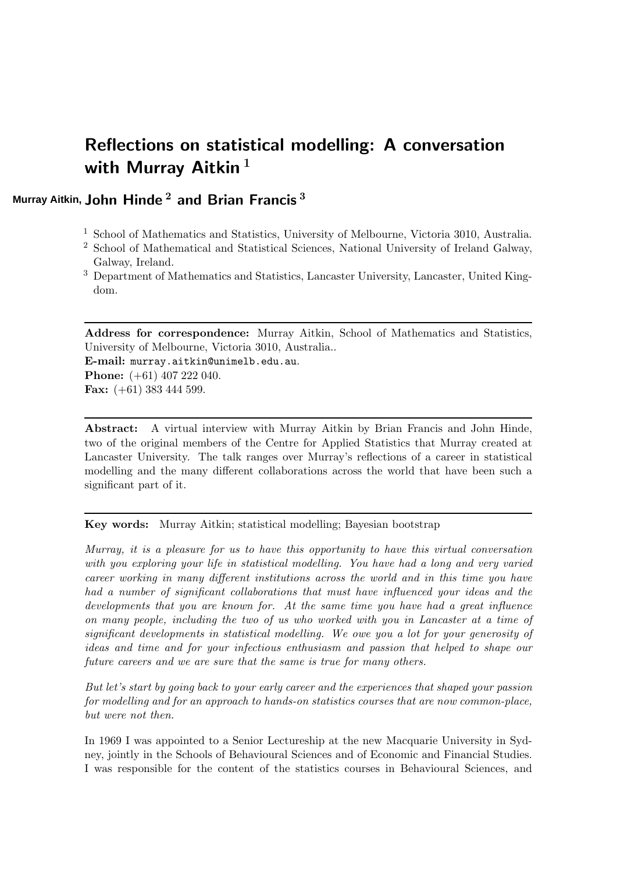# Reflections on statistical modelling: A conversation with Murray Aitkin<sup>1</sup>

# <code>Murray</code> Aitkin, <code>John Hinde $^{\,2}$  and Brian Francis</code>  $^3$

- <sup>1</sup> School of Mathematics and Statistics, University of Melbourne, Victoria 3010, Australia.
- <sup>2</sup> School of Mathematical and Statistical Sciences, National University of Ireland Galway, Galway, Ireland.
- <sup>3</sup> Department of Mathematics and Statistics, Lancaster University, Lancaster, United Kingdom.

Address for correspondence: Murray Aitkin, School of Mathematics and Statistics, University of Melbourne, Victoria 3010, Australia..

E-mail: murray.aitkin@unimelb.edu.au. **Phone:** (+61) 407 222 040. Fax: (+61) 383 444 599.

Abstract: A virtual interview with Murray Aitkin by Brian Francis and John Hinde, two of the original members of the Centre for Applied Statistics that Murray created at Lancaster University. The talk ranges over Murray's reflections of a career in statistical modelling and the many different collaborations across the world that have been such a significant part of it.

# Key words: Murray Aitkin; statistical modelling; Bayesian bootstrap

Murray, it is a pleasure for us to have this opportunity to have this virtual conversation with you exploring your life in statistical modelling. You have had a long and very varied career working in many different institutions across the world and in this time you have had a number of significant collaborations that must have influenced your ideas and the developments that you are known for. At the same time you have had a great influence on many people, including the two of us who worked with you in Lancaster at a time of significant developments in statistical modelling. We owe you a lot for your generosity of ideas and time and for your infectious enthusiasm and passion that helped to shape our future careers and we are sure that the same is true for many others.

But let's start by going back to your early career and the experiences that shaped your passion for modelling and for an approach to hands-on statistics courses that are now common-place, but were not then.

In 1969 I was appointed to a Senior Lectureship at the new Macquarie University in Sydney, jointly in the Schools of Behavioural Sciences and of Economic and Financial Studies. I was responsible for the content of the statistics courses in Behavioural Sciences, and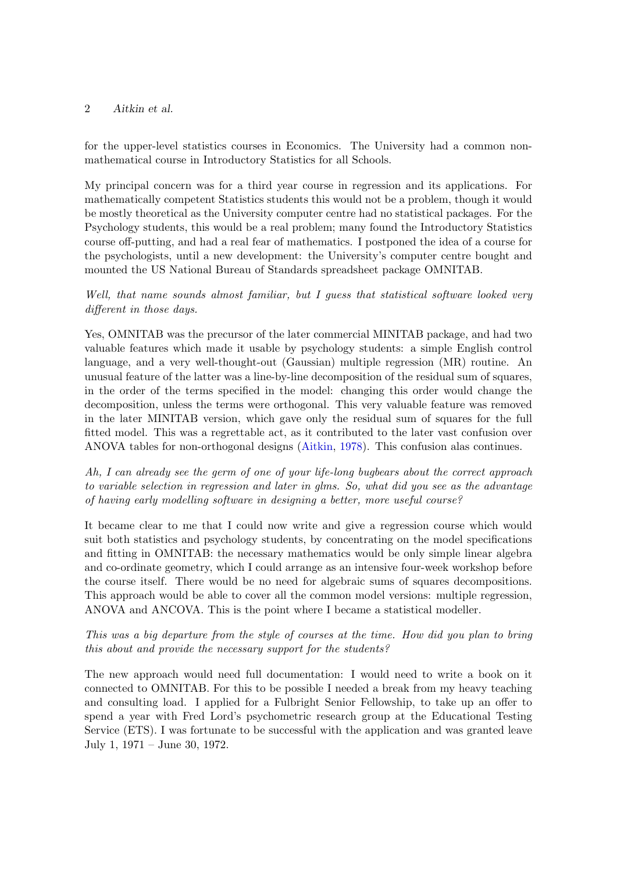for the upper-level statistics courses in Economics. The University had a common nonmathematical course in Introductory Statistics for all Schools.

My principal concern was for a third year course in regression and its applications. For mathematically competent Statistics students this would not be a problem, though it would be mostly theoretical as the University computer centre had no statistical packages. For the Psychology students, this would be a real problem; many found the Introductory Statistics course off-putting, and had a real fear of mathematics. I postponed the idea of a course for the psychologists, until a new development: the University's computer centre bought and mounted the US National Bureau of Standards spreadsheet package OMNITAB.

# Well, that name sounds almost familiar, but I quess that statistical software looked very different in those days.

Yes, OMNITAB was the precursor of the later commercial MINITAB package, and had two valuable features which made it usable by psychology students: a simple English control language, and a very well-thought-out (Gaussian) multiple regression (MR) routine. An unusual feature of the latter was a line-by-line decomposition of the residual sum of squares, in the order of the terms specified in the model: changing this order would change the decomposition, unless the terms were orthogonal. This very valuable feature was removed in the later MINITAB version, which gave only the residual sum of squares for the full fitted model. This was a regrettable act, as it contributed to the later vast confusion over ANOVA tables for non-orthogonal designs [\(Aitkin,](#page-17-0) [1978\)](#page-17-0). This confusion alas continues.

Ah, I can already see the germ of one of your life-long bugbears about the correct approach to variable selection in regression and later in glms. So, what did you see as the advantage of having early modelling software in designing a better, more useful course?

It became clear to me that I could now write and give a regression course which would suit both statistics and psychology students, by concentrating on the model specifications and fitting in OMNITAB: the necessary mathematics would be only simple linear algebra and co-ordinate geometry, which I could arrange as an intensive four-week workshop before the course itself. There would be no need for algebraic sums of squares decompositions. This approach would be able to cover all the common model versions: multiple regression, ANOVA and ANCOVA. This is the point where I became a statistical modeller.

# This was a big departure from the style of courses at the time. How did you plan to bring this about and provide the necessary support for the students?

The new approach would need full documentation: I would need to write a book on it connected to OMNITAB. For this to be possible I needed a break from my heavy teaching and consulting load. I applied for a Fulbright Senior Fellowship, to take up an offer to spend a year with Fred Lord's psychometric research group at the Educational Testing Service (ETS). I was fortunate to be successful with the application and was granted leave July 1, 1971 – June 30, 1972.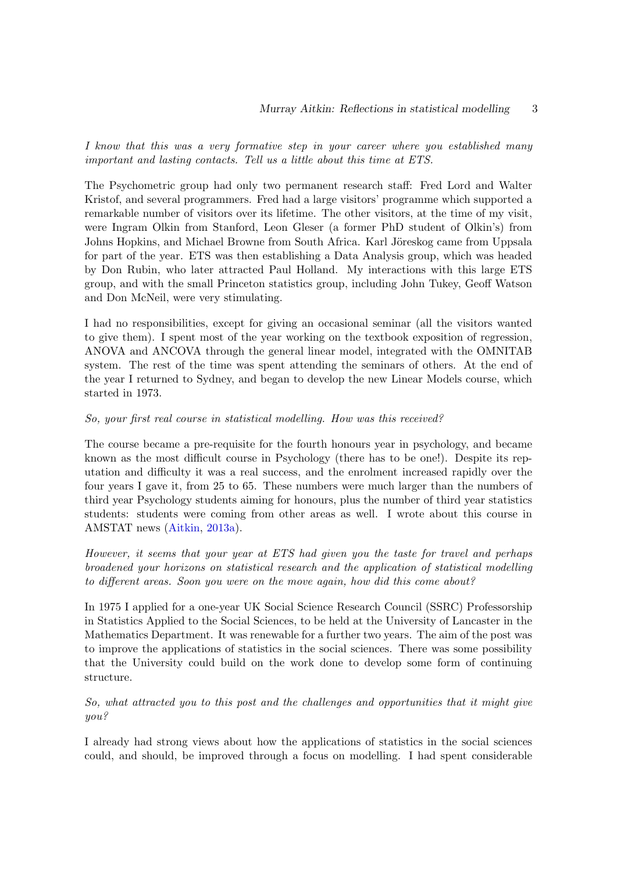I know that this was a very formative step in your career where you established many important and lasting contacts. Tell us a little about this time at ETS.

The Psychometric group had only two permanent research staff: Fred Lord and Walter Kristof, and several programmers. Fred had a large visitors' programme which supported a remarkable number of visitors over its lifetime. The other visitors, at the time of my visit, were Ingram Olkin from Stanford, Leon Gleser (a former PhD student of Olkin's) from Johns Hopkins, and Michael Browne from South Africa. Karl Jöreskog came from Uppsala for part of the year. ETS was then establishing a Data Analysis group, which was headed by Don Rubin, who later attracted Paul Holland. My interactions with this large ETS group, and with the small Princeton statistics group, including John Tukey, Geoff Watson and Don McNeil, were very stimulating.

I had no responsibilities, except for giving an occasional seminar (all the visitors wanted to give them). I spent most of the year working on the textbook exposition of regression, ANOVA and ANCOVA through the general linear model, integrated with the OMNITAB system. The rest of the time was spent attending the seminars of others. At the end of the year I returned to Sydney, and began to develop the new Linear Models course, which started in 1973.

#### So, your first real course in statistical modelling. How was this received?

The course became a pre-requisite for the fourth honours year in psychology, and became known as the most difficult course in Psychology (there has to be one!). Despite its reputation and difficulty it was a real success, and the enrolment increased rapidly over the four years I gave it, from 25 to 65. These numbers were much larger than the numbers of third year Psychology students aiming for honours, plus the number of third year statistics students: students were coming from other areas as well. I wrote about this course in AMSTAT news [\(Aitkin,](#page-18-0) [2013a\)](#page-18-0).

However, it seems that your year at ETS had given you the taste for travel and perhaps broadened your horizons on statistical research and the application of statistical modelling to different areas. Soon you were on the move again, how did this come about?

In 1975 I applied for a one-year UK Social Science Research Council (SSRC) Professorship in Statistics Applied to the Social Sciences, to be held at the University of Lancaster in the Mathematics Department. It was renewable for a further two years. The aim of the post was to improve the applications of statistics in the social sciences. There was some possibility that the University could build on the work done to develop some form of continuing structure.

So, what attracted you to this post and the challenges and opportunities that it might give you?

I already had strong views about how the applications of statistics in the social sciences could, and should, be improved through a focus on modelling. I had spent considerable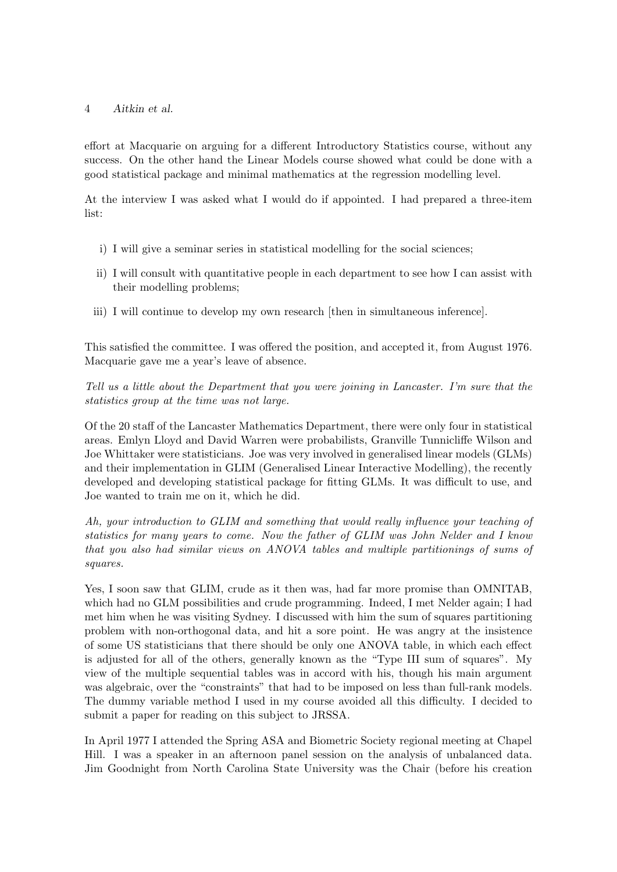effort at Macquarie on arguing for a different Introductory Statistics course, without any success. On the other hand the Linear Models course showed what could be done with a good statistical package and minimal mathematics at the regression modelling level.

At the interview I was asked what I would do if appointed. I had prepared a three-item list:

- i) I will give a seminar series in statistical modelling for the social sciences;
- ii) I will consult with quantitative people in each department to see how I can assist with their modelling problems;
- iii) I will continue to develop my own research [then in simultaneous inference].

This satisfied the committee. I was offered the position, and accepted it, from August 1976. Macquarie gave me a year's leave of absence.

Tell us a little about the Department that you were joining in Lancaster. I'm sure that the statistics group at the time was not large.

Of the 20 staff of the Lancaster Mathematics Department, there were only four in statistical areas. Emlyn Lloyd and David Warren were probabilists, Granville Tunnicliffe Wilson and Joe Whittaker were statisticians. Joe was very involved in generalised linear models (GLMs) and their implementation in GLIM (Generalised Linear Interactive Modelling), the recently developed and developing statistical package for fitting GLMs. It was difficult to use, and Joe wanted to train me on it, which he did.

Ah, your introduction to GLIM and something that would really influence your teaching of statistics for many years to come. Now the father of GLIM was John Nelder and I know that you also had similar views on ANOVA tables and multiple partitionings of sums of squares.

Yes, I soon saw that GLIM, crude as it then was, had far more promise than OMNITAB, which had no GLM possibilities and crude programming. Indeed, I met Nelder again; I had met him when he was visiting Sydney. I discussed with him the sum of squares partitioning problem with non-orthogonal data, and hit a sore point. He was angry at the insistence of some US statisticians that there should be only one ANOVA table, in which each effect is adjusted for all of the others, generally known as the "Type III sum of squares". My view of the multiple sequential tables was in accord with his, though his main argument was algebraic, over the "constraints" that had to be imposed on less than full-rank models. The dummy variable method I used in my course avoided all this difficulty. I decided to submit a paper for reading on this subject to JRSSA.

In April 1977 I attended the Spring ASA and Biometric Society regional meeting at Chapel Hill. I was a speaker in an afternoon panel session on the analysis of unbalanced data. Jim Goodnight from North Carolina State University was the Chair (before his creation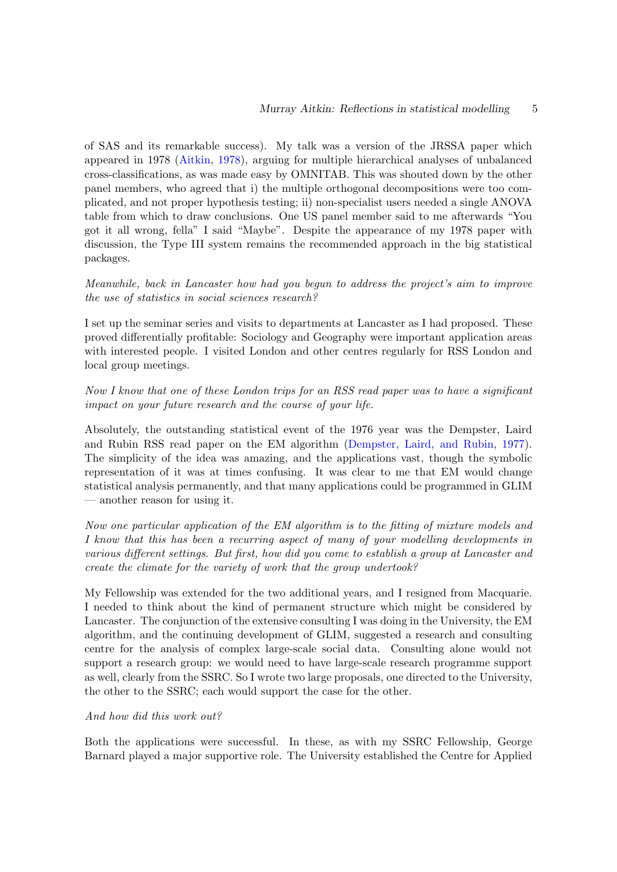of SAS and its remarkable success). My talk was a version of the JRSSA paper which appeared in 1978 [\(Aitkin,](#page-17-0) [1978\)](#page-17-0), arguing for multiple hierarchical analyses of unbalanced cross-classifications, as was made easy by OMNITAB. This was shouted down by the other panel members, who agreed that i) the multiple orthogonal decompositions were too complicated, and not proper hypothesis testing; ii) non-specialist users needed a single ANOVA table from which to draw conclusions. One US panel member said to me afterwards "You got it all wrong, fella" I said "Maybe". Despite the appearance of my 1978 paper with discussion, the Type III system remains the recommended approach in the big statistical packages.

Meanwhile, back in Lancaster how had you begun to address the project's aim to improve the use of statistics in social sciences research?

I set up the seminar series and visits to departments at Lancaster as I had proposed. These proved differentially profitable: Sociology and Geography were important application areas with interested people. I visited London and other centres regularly for RSS London and local group meetings.

Now I know that one of these London trips for an RSS read paper was to have a significant impact on your future research and the course of your life.

Absolutely, the outstanding statistical event of the 1976 year was the Dempster, Laird and Rubin RSS read paper on the EM algorithm [\(Dempster, Laird, and Rubin,](#page-18-1) [1977\)](#page-18-1). The simplicity of the idea was amazing, and the applications vast, though the symbolic representation of it was at times confusing. It was clear to me that EM would change statistical analysis permanently, and that many applications could be programmed in GLIM — another reason for using it.

Now one particular application of the EM algorithm is to the fitting of mixture models and I know that this has been a recurring aspect of many of your modelling developments in various different settings. But first, how did you come to establish a group at Lancaster and create the climate for the variety of work that the group undertook?

My Fellowship was extended for the two additional years, and I resigned from Macquarie. I needed to think about the kind of permanent structure which might be considered by Lancaster. The conjunction of the extensive consulting I was doing in the University, the EM algorithm, and the continuing development of GLIM, suggested a research and consulting centre for the analysis of complex large-scale social data. Consulting alone would not support a research group: we would need to have large-scale research programme support as well, clearly from the SSRC. So I wrote two large proposals, one directed to the University, the other to the SSRC; each would support the case for the other.

#### And how did this work out?

Both the applications were successful. In these, as with my SSRC Fellowship, George Barnard played a major supportive role. The University established the Centre for Applied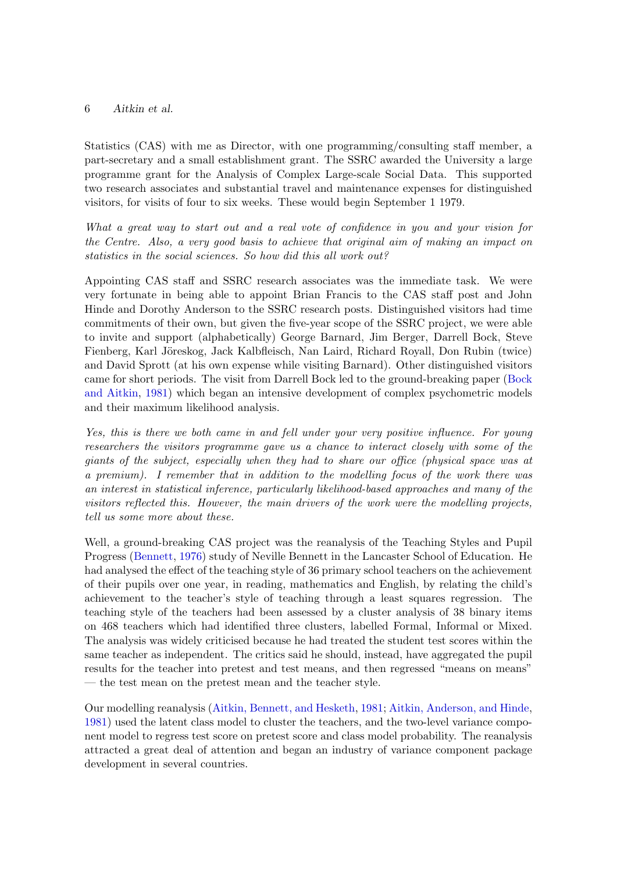Statistics (CAS) with me as Director, with one programming/consulting staff member, a part-secretary and a small establishment grant. The SSRC awarded the University a large programme grant for the Analysis of Complex Large-scale Social Data. This supported two research associates and substantial travel and maintenance expenses for distinguished visitors, for visits of four to six weeks. These would begin September 1 1979.

What a great way to start out and a real vote of confidence in you and your vision for the Centre. Also, a very good basis to achieve that original aim of making an impact on statistics in the social sciences. So how did this all work out?

Appointing CAS staff and SSRC research associates was the immediate task. We were very fortunate in being able to appoint Brian Francis to the CAS staff post and John Hinde and Dorothy Anderson to the SSRC research posts. Distinguished visitors had time commitments of their own, but given the five-year scope of the SSRC project, we were able to invite and support (alphabetically) George Barnard, Jim Berger, Darrell Bock, Steve Fienberg, Karl Jöreskog, Jack Kalbfleisch, Nan Laird, Richard Royall, Don Rubin (twice) and David Sprott (at his own expense while visiting Barnard). Other distinguished visitors came for short periods. The visit from Darrell Bock led to the ground-breaking paper [\(Bock](#page-18-2) [and Aitkin,](#page-18-2) [1981\)](#page-18-2) which began an intensive development of complex psychometric models and their maximum likelihood analysis.

Yes, this is there we both came in and fell under your very positive influence. For young researchers the visitors programme gave us a chance to interact closely with some of the giants of the subject, especially when they had to share our office (physical space was at a premium). I remember that in addition to the modelling focus of the work there was an interest in statistical inference, particularly likelihood-based approaches and many of the visitors reflected this. However, the main drivers of the work were the modelling projects, tell us some more about these.

Well, a ground-breaking CAS project was the reanalysis of the Teaching Styles and Pupil Progress [\(Bennett,](#page-18-3) [1976\)](#page-18-3) study of Neville Bennett in the Lancaster School of Education. He had analysed the effect of the teaching style of 36 primary school teachers on the achievement of their pupils over one year, in reading, mathematics and English, by relating the child's achievement to the teacher's style of teaching through a least squares regression. The teaching style of the teachers had been assessed by a cluster analysis of 38 binary items on 468 teachers which had identified three clusters, labelled Formal, Informal or Mixed. The analysis was widely criticised because he had treated the student test scores within the same teacher as independent. The critics said he should, instead, have aggregated the pupil results for the teacher into pretest and test means, and then regressed "means on means" — the test mean on the pretest mean and the teacher style.

Our modelling reanalysis [\(Aitkin, Bennett, and Hesketh,](#page-17-1) [1981;](#page-17-1) [Aitkin, Anderson, and Hinde,](#page-17-2) [1981\)](#page-17-2) used the latent class model to cluster the teachers, and the two-level variance component model to regress test score on pretest score and class model probability. The reanalysis attracted a great deal of attention and began an industry of variance component package development in several countries.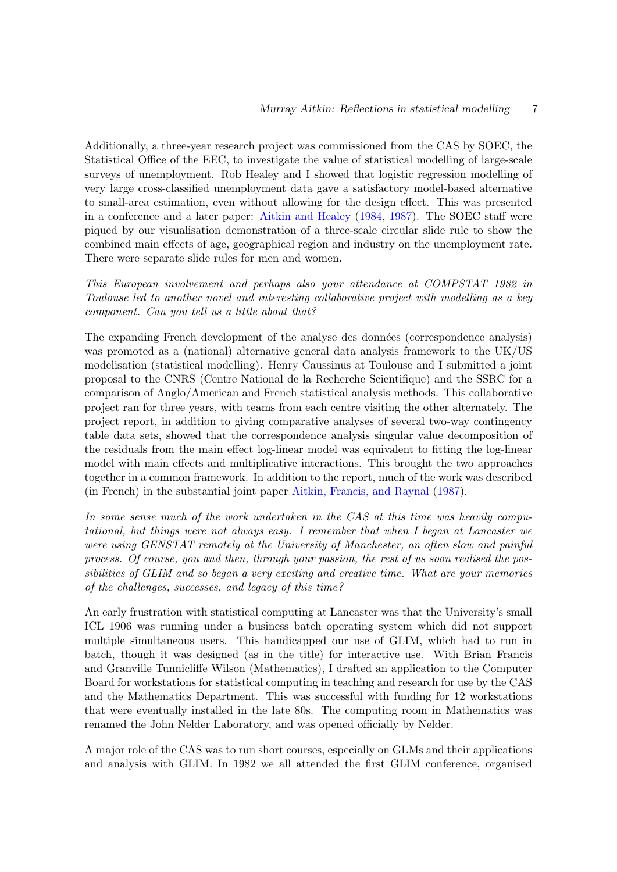Additionally, a three-year research project was commissioned from the CAS by SOEC, the Statistical Office of the EEC, to investigate the value of statistical modelling of large-scale surveys of unemployment. Rob Healey and I showed that logistic regression modelling of very large cross-classified unemployment data gave a satisfactory model-based alternative to small-area estimation, even without allowing for the design effect. This was presented in a conference and a later paper: [Aitkin and Healey](#page-17-3) [\(1984,](#page-17-3) [1987\)](#page-17-4). The SOEC staff were piqued by our visualisation demonstration of a three-scale circular slide rule to show the combined main effects of age, geographical region and industry on the unemployment rate. There were separate slide rules for men and women.

This European involvement and perhaps also your attendance at COMPSTAT 1982 in Toulouse led to another novel and interesting collaborative project with modelling as a key component. Can you tell us a little about that?

The expanding French development of the analyse des données (correspondence analysis) was promoted as a (national) alternative general data analysis framework to the UK/US modelisation (statistical modelling). Henry Caussinus at Toulouse and I submitted a joint proposal to the CNRS (Centre National de la Recherche Scientifique) and the SSRC for a comparison of Anglo/American and French statistical analysis methods. This collaborative project ran for three years, with teams from each centre visiting the other alternately. The project report, in addition to giving comparative analyses of several two-way contingency table data sets, showed that the correspondence analysis singular value decomposition of the residuals from the main effect log-linear model was equivalent to fitting the log-linear model with main effects and multiplicative interactions. This brought the two approaches together in a common framework. In addition to the report, much of the work was described (in French) in the substantial joint paper [Aitkin, Francis, and Raynal](#page-17-5) [\(1987\)](#page-17-5).

In some sense much of the work undertaken in the CAS at this time was heavily computational, but things were not always easy. I remember that when I began at Lancaster we were using GENSTAT remotely at the University of Manchester, an often slow and painful process. Of course, you and then, through your passion, the rest of us soon realised the possibilities of GLIM and so began a very exciting and creative time. What are your memories of the challenges, successes, and legacy of this time?

An early frustration with statistical computing at Lancaster was that the University's small ICL 1906 was running under a business batch operating system which did not support multiple simultaneous users. This handicapped our use of GLIM, which had to run in batch, though it was designed (as in the title) for interactive use. With Brian Francis and Granville Tunnicliffe Wilson (Mathematics), I drafted an application to the Computer Board for workstations for statistical computing in teaching and research for use by the CAS and the Mathematics Department. This was successful with funding for 12 workstations that were eventually installed in the late 80s. The computing room in Mathematics was renamed the John Nelder Laboratory, and was opened officially by Nelder.

A major role of the CAS was to run short courses, especially on GLMs and their applications and analysis with GLIM. In 1982 we all attended the first GLIM conference, organised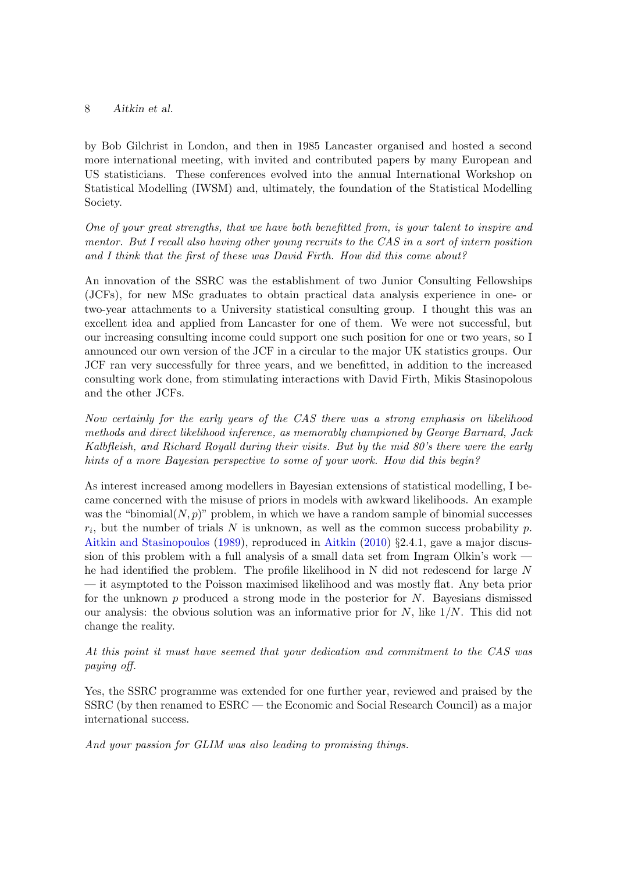by Bob Gilchrist in London, and then in 1985 Lancaster organised and hosted a second more international meeting, with invited and contributed papers by many European and US statisticians. These conferences evolved into the annual International Workshop on Statistical Modelling (IWSM) and, ultimately, the foundation of the Statistical Modelling Society.

One of your great strengths, that we have both benefitted from, is your talent to inspire and mentor. But I recall also having other young recruits to the CAS in a sort of intern position and I think that the first of these was David Firth. How did this come about?

An innovation of the SSRC was the establishment of two Junior Consulting Fellowships (JCFs), for new MSc graduates to obtain practical data analysis experience in one- or two-year attachments to a University statistical consulting group. I thought this was an excellent idea and applied from Lancaster for one of them. We were not successful, but our increasing consulting income could support one such position for one or two years, so I announced our own version of the JCF in a circular to the major UK statistics groups. Our JCF ran very successfully for three years, and we benefitted, in addition to the increased consulting work done, from stimulating interactions with David Firth, Mikis Stasinopolous and the other JCFs.

Now certainly for the early years of the CAS there was a strong emphasis on likelihood methods and direct likelihood inference, as memorably championed by George Barnard, Jack Kalbfleish, and Richard Royall during their visits. But by the mid 80's there were the early hints of a more Bayesian perspective to some of your work. How did this begin?

As interest increased among modellers in Bayesian extensions of statistical modelling, I became concerned with the misuse of priors in models with awkward likelihoods. An example was the "binomial $(N, p)$ " problem, in which we have a random sample of binomial successes  $r_i$ , but the number of trials N is unknown, as well as the common success probability p. [Aitkin and Stasinopoulos](#page-17-6) [\(1989\)](#page-17-6), reproduced in [Aitkin](#page-18-4) [\(2010\)](#page-18-4) §2.4.1, gave a major discussion of this problem with a full analysis of a small data set from Ingram Olkin's work  $\cdot$ he had identified the problem. The profile likelihood in N did not redescend for large N — it asymptoted to the Poisson maximised likelihood and was mostly flat. Any beta prior for the unknown  $p$  produced a strong mode in the posterior for  $N$ . Bayesians dismissed our analysis: the obvious solution was an informative prior for  $N$ , like  $1/N$ . This did not change the reality.

At this point it must have seemed that your dedication and commitment to the CAS was paying off.

Yes, the SSRC programme was extended for one further year, reviewed and praised by the SSRC (by then renamed to ESRC — the Economic and Social Research Council) as a major international success.

And your passion for GLIM was also leading to promising things.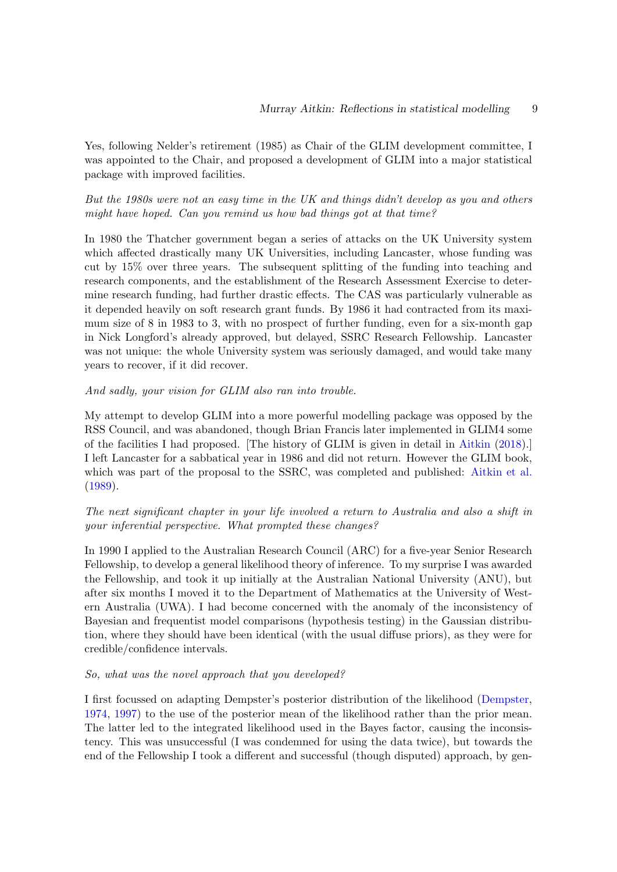Yes, following Nelder's retirement (1985) as Chair of the GLIM development committee, I was appointed to the Chair, and proposed a development of GLIM into a major statistical package with improved facilities.

# But the 1980s were not an easy time in the UK and things didn't develop as you and others might have hoped. Can you remind us how bad things got at that time?

In 1980 the Thatcher government began a series of attacks on the UK University system which affected drastically many UK Universities, including Lancaster, whose funding was cut by 15% over three years. The subsequent splitting of the funding into teaching and research components, and the establishment of the Research Assessment Exercise to determine research funding, had further drastic effects. The CAS was particularly vulnerable as it depended heavily on soft research grant funds. By 1986 it had contracted from its maximum size of 8 in 1983 to 3, with no prospect of further funding, even for a six-month gap in Nick Longford's already approved, but delayed, SSRC Research Fellowship. Lancaster was not unique: the whole University system was seriously damaged, and would take many years to recover, if it did recover.

#### And sadly, your vision for GLIM also ran into trouble.

My attempt to develop GLIM into a more powerful modelling package was opposed by the RSS Council, and was abandoned, though Brian Francis later implemented in GLIM4 some of the facilities I had proposed. [The history of GLIM is given in detail in [Aitkin](#page-18-5) [\(2018\)](#page-18-5).] I left Lancaster for a sabbatical year in 1986 and did not return. However the GLIM book, which was part of the proposal to the SSRC, was completed and published: [Aitkin et al.](#page-17-7) [\(1989\)](#page-17-7).

# The next significant chapter in your life involved a return to Australia and also a shift in your inferential perspective. What prompted these changes?

In 1990 I applied to the Australian Research Council (ARC) for a five-year Senior Research Fellowship, to develop a general likelihood theory of inference. To my surprise I was awarded the Fellowship, and took it up initially at the Australian National University (ANU), but after six months I moved it to the Department of Mathematics at the University of Western Australia (UWA). I had become concerned with the anomaly of the inconsistency of Bayesian and frequentist model comparisons (hypothesis testing) in the Gaussian distribution, where they should have been identical (with the usual diffuse priors), as they were for credible/confidence intervals.

#### So, what was the novel approach that you developed?

I first focussed on adapting Dempster's posterior distribution of the likelihood [\(Dempster,](#page-18-6) [1974,](#page-18-6) [1997\)](#page-18-7) to the use of the posterior mean of the likelihood rather than the prior mean. The latter led to the integrated likelihood used in the Bayes factor, causing the inconsistency. This was unsuccessful (I was condemned for using the data twice), but towards the end of the Fellowship I took a different and successful (though disputed) approach, by gen-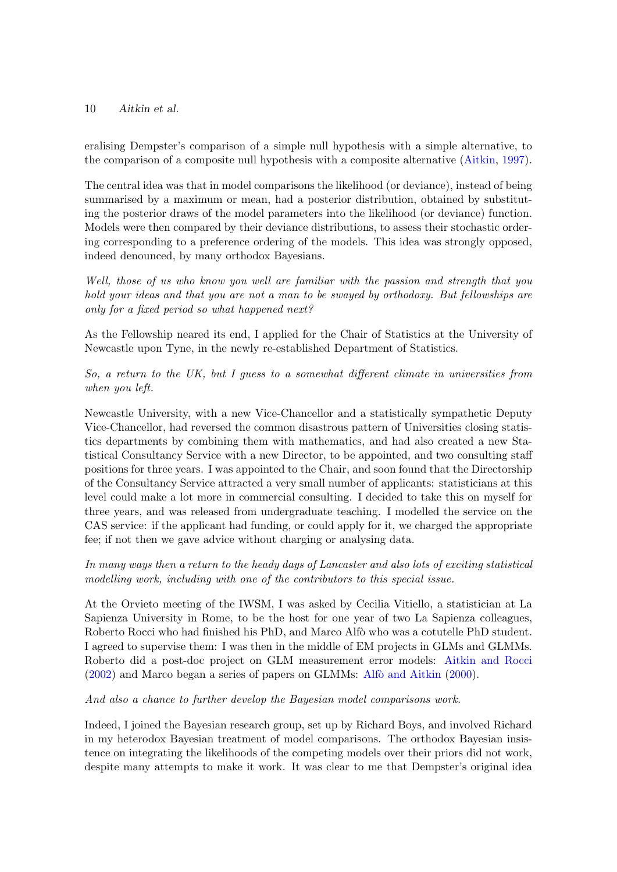eralising Dempster's comparison of a simple null hypothesis with a simple alternative, to the comparison of a composite null hypothesis with a composite alternative [\(Aitkin,](#page-17-8) [1997\)](#page-17-8).

The central idea was that in model comparisons the likelihood (or deviance), instead of being summarised by a maximum or mean, had a posterior distribution, obtained by substituting the posterior draws of the model parameters into the likelihood (or deviance) function. Models were then compared by their deviance distributions, to assess their stochastic ordering corresponding to a preference ordering of the models. This idea was strongly opposed, indeed denounced, by many orthodox Bayesians.

Well, those of us who know you well are familiar with the passion and strength that you hold your ideas and that you are not a man to be swayed by orthodoxy. But fellowships are only for a fixed period so what happened next?

As the Fellowship neared its end, I applied for the Chair of Statistics at the University of Newcastle upon Tyne, in the newly re-established Department of Statistics.

So, a return to the UK, but I guess to a somewhat different climate in universities from when you left.

Newcastle University, with a new Vice-Chancellor and a statistically sympathetic Deputy Vice-Chancellor, had reversed the common disastrous pattern of Universities closing statistics departments by combining them with mathematics, and had also created a new Statistical Consultancy Service with a new Director, to be appointed, and two consulting staff positions for three years. I was appointed to the Chair, and soon found that the Directorship of the Consultancy Service attracted a very small number of applicants: statisticians at this level could make a lot more in commercial consulting. I decided to take this on myself for three years, and was released from undergraduate teaching. I modelled the service on the CAS service: if the applicant had funding, or could apply for it, we charged the appropriate fee; if not then we gave advice without charging or analysing data.

In many ways then a return to the heady days of Lancaster and also lots of exciting statistical modelling work, including with one of the contributors to this special issue.

At the Orvieto meeting of the IWSM, I was asked by Cecilia Vitiello, a statistician at La Sapienza University in Rome, to be the host for one year of two La Sapienza colleagues, Roberto Rocci who had finished his PhD, and Marco Alfò who was a cotutelle PhD student. I agreed to supervise them: I was then in the middle of EM projects in GLMs and GLMMs. Roberto did a post-doc project on GLM measurement error models: [Aitkin and Rocci](#page-17-9)  $(2002)$  and Marco began a series of papers on GLMMs: Alfò and Aitkin  $(2000)$ .

And also a chance to further develop the Bayesian model comparisons work.

Indeed, I joined the Bayesian research group, set up by Richard Boys, and involved Richard in my heterodox Bayesian treatment of model comparisons. The orthodox Bayesian insistence on integrating the likelihoods of the competing models over their priors did not work, despite many attempts to make it work. It was clear to me that Dempster's original idea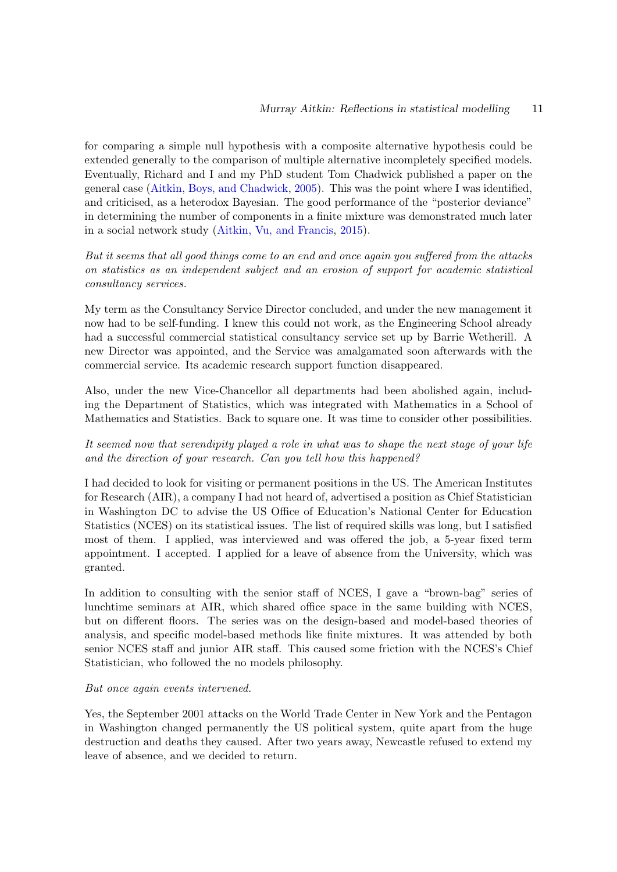for comparing a simple null hypothesis with a composite alternative hypothesis could be extended generally to the comparison of multiple alternative incompletely specified models. Eventually, Richard and I and my PhD student Tom Chadwick published a paper on the general case [\(Aitkin, Boys, and Chadwick,](#page-18-9) [2005\)](#page-18-9). This was the point where I was identified, and criticised, as a heterodox Bayesian. The good performance of the "posterior deviance" in determining the number of components in a finite mixture was demonstrated much later in a social network study [\(Aitkin, Vu, and Francis,](#page-18-10) [2015\)](#page-18-10).

But it seems that all good things come to an end and once again you suffered from the attacks on statistics as an independent subject and an erosion of support for academic statistical consultancy services.

My term as the Consultancy Service Director concluded, and under the new management it now had to be self-funding. I knew this could not work, as the Engineering School already had a successful commercial statistical consultancy service set up by Barrie Wetherill. A new Director was appointed, and the Service was amalgamated soon afterwards with the commercial service. Its academic research support function disappeared.

Also, under the new Vice-Chancellor all departments had been abolished again, including the Department of Statistics, which was integrated with Mathematics in a School of Mathematics and Statistics. Back to square one. It was time to consider other possibilities.

# It seemed now that serendipity played a role in what was to shape the next stage of your life and the direction of your research. Can you tell how this happened?

I had decided to look for visiting or permanent positions in the US. The American Institutes for Research (AIR), a company I had not heard of, advertised a position as Chief Statistician in Washington DC to advise the US Office of Education's National Center for Education Statistics (NCES) on its statistical issues. The list of required skills was long, but I satisfied most of them. I applied, was interviewed and was offered the job, a 5-year fixed term appointment. I accepted. I applied for a leave of absence from the University, which was granted.

In addition to consulting with the senior staff of NCES, I gave a "brown-bag" series of lunchtime seminars at AIR, which shared office space in the same building with NCES, but on different floors. The series was on the design-based and model-based theories of analysis, and specific model-based methods like finite mixtures. It was attended by both senior NCES staff and junior AIR staff. This caused some friction with the NCES's Chief Statistician, who followed the no models philosophy.

#### But once again events intervened.

Yes, the September 2001 attacks on the World Trade Center in New York and the Pentagon in Washington changed permanently the US political system, quite apart from the huge destruction and deaths they caused. After two years away, Newcastle refused to extend my leave of absence, and we decided to return.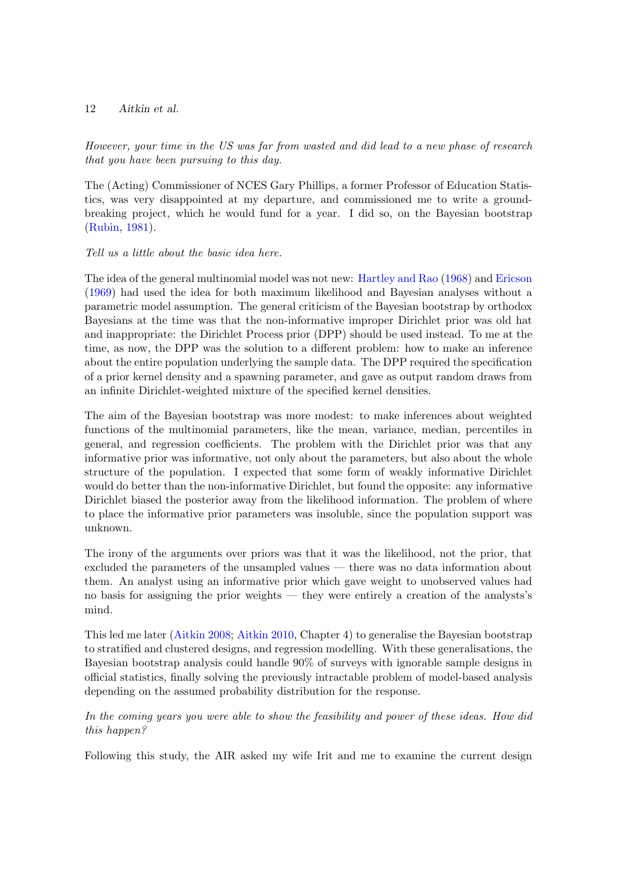However, your time in the US was far from wasted and did lead to a new phase of research that you have been pursuing to this day.

The (Acting) Commissioner of NCES Gary Phillips, a former Professor of Education Statistics, was very disappointed at my departure, and commissioned me to write a groundbreaking project, which he would fund for a year. I did so, on the Bayesian bootstrap [\(Rubin,](#page-19-0) [1981\)](#page-19-0).

#### Tell us a little about the basic idea here.

The idea of the general multinomial model was not new: [Hartley and Rao](#page-19-1) [\(1968\)](#page-19-1) and [Ericson](#page-18-11) [\(1969\)](#page-18-11) had used the idea for both maximum likelihood and Bayesian analyses without a parametric model assumption. The general criticism of the Bayesian bootstrap by orthodox Bayesians at the time was that the non-informative improper Dirichlet prior was old hat and inappropriate: the Dirichlet Process prior (DPP) should be used instead. To me at the time, as now, the DPP was the solution to a different problem: how to make an inference about the entire population underlying the sample data. The DPP required the specification of a prior kernel density and a spawning parameter, and gave as output random draws from an infinite Dirichlet-weighted mixture of the specified kernel densities.

The aim of the Bayesian bootstrap was more modest: to make inferences about weighted functions of the multinomial parameters, like the mean, variance, median, percentiles in general, and regression coefficients. The problem with the Dirichlet prior was that any informative prior was informative, not only about the parameters, but also about the whole structure of the population. I expected that some form of weakly informative Dirichlet would do better than the non-informative Dirichlet, but found the opposite: any informative Dirichlet biased the posterior away from the likelihood information. The problem of where to place the informative prior parameters was insoluble, since the population support was unknown.

The irony of the arguments over priors was that it was the likelihood, not the prior, that excluded the parameters of the unsampled values — there was no data information about them. An analyst using an informative prior which gave weight to unobserved values had no basis for assigning the prior weights — they were entirely a creation of the analysts's mind.

This led me later [\(Aitkin](#page-18-12) [2008;](#page-18-12) [Aitkin](#page-18-4) [2010,](#page-18-4) Chapter 4) to generalise the Bayesian bootstrap to stratified and clustered designs, and regression modelling. With these generalisations, the Bayesian bootstrap analysis could handle 90% of surveys with ignorable sample designs in official statistics, finally solving the previously intractable problem of model-based analysis depending on the assumed probability distribution for the response.

In the coming years you were able to show the feasibility and power of these ideas. How did this happen?

Following this study, the AIR asked my wife Irit and me to examine the current design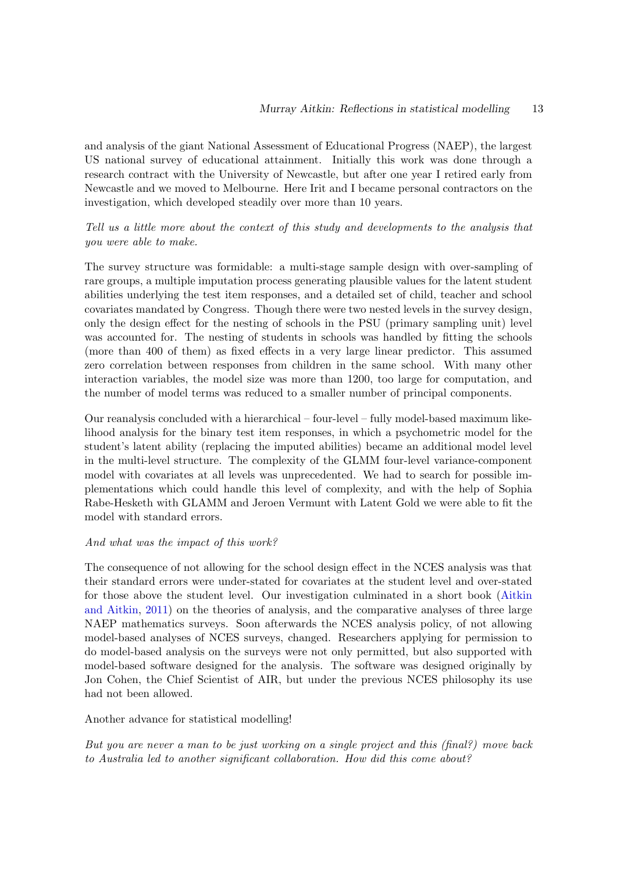and analysis of the giant National Assessment of Educational Progress (NAEP), the largest US national survey of educational attainment. Initially this work was done through a research contract with the University of Newcastle, but after one year I retired early from Newcastle and we moved to Melbourne. Here Irit and I became personal contractors on the investigation, which developed steadily over more than 10 years.

# Tell us a little more about the context of this study and developments to the analysis that you were able to make.

The survey structure was formidable: a multi-stage sample design with over-sampling of rare groups, a multiple imputation process generating plausible values for the latent student abilities underlying the test item responses, and a detailed set of child, teacher and school covariates mandated by Congress. Though there were two nested levels in the survey design, only the design effect for the nesting of schools in the PSU (primary sampling unit) level was accounted for. The nesting of students in schools was handled by fitting the schools (more than 400 of them) as fixed effects in a very large linear predictor. This assumed zero correlation between responses from children in the same school. With many other interaction variables, the model size was more than 1200, too large for computation, and the number of model terms was reduced to a smaller number of principal components.

Our reanalysis concluded with a hierarchical – four-level – fully model-based maximum likelihood analysis for the binary test item responses, in which a psychometric model for the student's latent ability (replacing the imputed abilities) became an additional model level in the multi-level structure. The complexity of the GLMM four-level variance-component model with covariates at all levels was unprecedented. We had to search for possible implementations which could handle this level of complexity, and with the help of Sophia Rabe-Hesketh with GLAMM and Jeroen Vermunt with Latent Gold we were able to fit the model with standard errors.

#### And what was the impact of this work?

The consequence of not allowing for the school design effect in the NCES analysis was that their standard errors were under-stated for covariates at the student level and over-stated for those above the student level. Our investigation culminated in a short book [\(Aitkin](#page-18-13) [and Aitkin,](#page-18-13) [2011\)](#page-18-13) on the theories of analysis, and the comparative analyses of three large NAEP mathematics surveys. Soon afterwards the NCES analysis policy, of not allowing model-based analyses of NCES surveys, changed. Researchers applying for permission to do model-based analysis on the surveys were not only permitted, but also supported with model-based software designed for the analysis. The software was designed originally by Jon Cohen, the Chief Scientist of AIR, but under the previous NCES philosophy its use had not been allowed.

#### Another advance for statistical modelling!

But you are never a man to be just working on a single project and this (final?) move back to Australia led to another significant collaboration. How did this come about?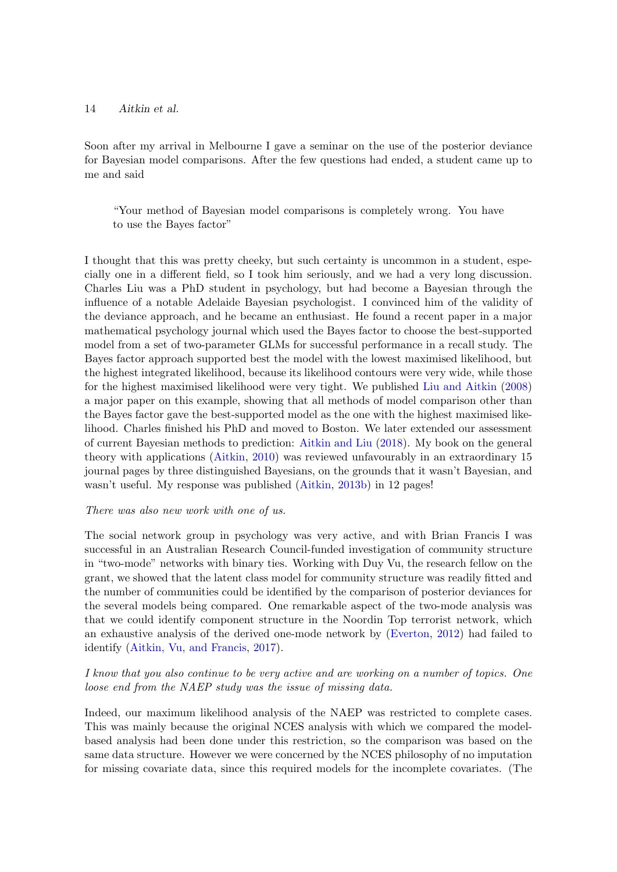Soon after my arrival in Melbourne I gave a seminar on the use of the posterior deviance for Bayesian model comparisons. After the few questions had ended, a student came up to me and said

"Your method of Bayesian model comparisons is completely wrong. You have to use the Bayes factor"

I thought that this was pretty cheeky, but such certainty is uncommon in a student, especially one in a different field, so I took him seriously, and we had a very long discussion. Charles Liu was a PhD student in psychology, but had become a Bayesian through the influence of a notable Adelaide Bayesian psychologist. I convinced him of the validity of the deviance approach, and he became an enthusiast. He found a recent paper in a major mathematical psychology journal which used the Bayes factor to choose the best-supported model from a set of two-parameter GLMs for successful performance in a recall study. The Bayes factor approach supported best the model with the lowest maximised likelihood, but the highest integrated likelihood, because its likelihood contours were very wide, while those for the highest maximised likelihood were very tight. We published [Liu and Aitkin](#page-19-2) [\(2008\)](#page-19-2) a major paper on this example, showing that all methods of model comparison other than the Bayes factor gave the best-supported model as the one with the highest maximised likelihood. Charles finished his PhD and moved to Boston. We later extended our assessment of current Bayesian methods to prediction: [Aitkin and Liu](#page-18-14) [\(2018\)](#page-18-14). My book on the general theory with applications [\(Aitkin,](#page-18-4) [2010\)](#page-18-4) was reviewed unfavourably in an extraordinary 15 journal pages by three distinguished Bayesians, on the grounds that it wasn't Bayesian, and wasn't useful. My response was published [\(Aitkin,](#page-18-15) [2013b\)](#page-18-15) in 12 pages!

#### There was also new work with one of us.

The social network group in psychology was very active, and with Brian Francis I was successful in an Australian Research Council-funded investigation of community structure in "two-mode" networks with binary ties. Working with Duy Vu, the research fellow on the grant, we showed that the latent class model for community structure was readily fitted and the number of communities could be identified by the comparison of posterior deviances for the several models being compared. One remarkable aspect of the two-mode analysis was that we could identify component structure in the Noordin Top terrorist network, which an exhaustive analysis of the derived one-mode network by [\(Everton,](#page-19-3) [2012\)](#page-19-3) had failed to identify [\(Aitkin, Vu, and Francis,](#page-18-16) [2017\)](#page-18-16).

# I know that you also continue to be very active and are working on a number of topics. One loose end from the NAEP study was the issue of missing data.

Indeed, our maximum likelihood analysis of the NAEP was restricted to complete cases. This was mainly because the original NCES analysis with which we compared the modelbased analysis had been done under this restriction, so the comparison was based on the same data structure. However we were concerned by the NCES philosophy of no imputation for missing covariate data, since this required models for the incomplete covariates. (The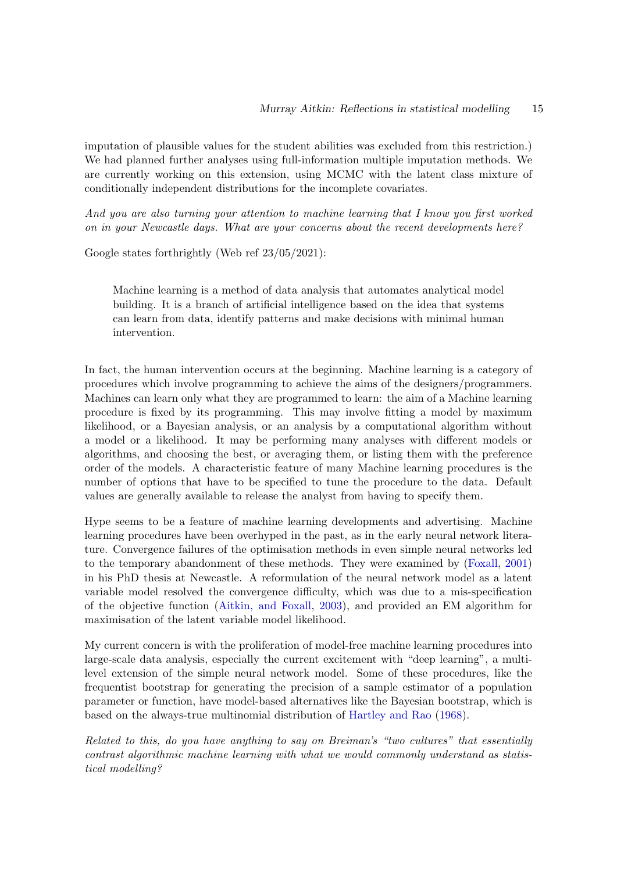imputation of plausible values for the student abilities was excluded from this restriction.) We had planned further analyses using full-information multiple imputation methods. We are currently working on this extension, using MCMC with the latent class mixture of conditionally independent distributions for the incomplete covariates.

And you are also turning your attention to machine learning that I know you first worked on in your Newcastle days. What are your concerns about the recent developments here?

Google states forthrightly (Web ref 23/05/2021):

Machine learning is a method of data analysis that automates analytical model building. It is a branch of artificial intelligence based on the idea that systems can learn from data, identify patterns and make decisions with minimal human intervention.

In fact, the human intervention occurs at the beginning. Machine learning is a category of procedures which involve programming to achieve the aims of the designers/programmers. Machines can learn only what they are programmed to learn: the aim of a Machine learning procedure is fixed by its programming. This may involve fitting a model by maximum likelihood, or a Bayesian analysis, or an analysis by a computational algorithm without a model or a likelihood. It may be performing many analyses with different models or algorithms, and choosing the best, or averaging them, or listing them with the preference order of the models. A characteristic feature of many Machine learning procedures is the number of options that have to be specified to tune the procedure to the data. Default values are generally available to release the analyst from having to specify them.

Hype seems to be a feature of machine learning developments and advertising. Machine learning procedures have been overhyped in the past, as in the early neural network literature. Convergence failures of the optimisation methods in even simple neural networks led to the temporary abandonment of these methods. They were examined by [\(Foxall,](#page-19-4) [2001\)](#page-19-4) in his PhD thesis at Newcastle. A reformulation of the neural network model as a latent variable model resolved the convergence difficulty, which was due to a mis-specification of the objective function [\(Aitkin, and Foxall,](#page-18-17) [2003\)](#page-18-17), and provided an EM algorithm for maximisation of the latent variable model likelihood.

My current concern is with the proliferation of model-free machine learning procedures into large-scale data analysis, especially the current excitement with "deep learning", a multilevel extension of the simple neural network model. Some of these procedures, like the frequentist bootstrap for generating the precision of a sample estimator of a population parameter or function, have model-based alternatives like the Bayesian bootstrap, which is based on the always-true multinomial distribution of [Hartley and Rao](#page-19-1) [\(1968\)](#page-19-1).

Related to this, do you have anything to say on Breiman's "two cultures" that essentially contrast algorithmic machine learning with what we would commonly understand as statistical modelling?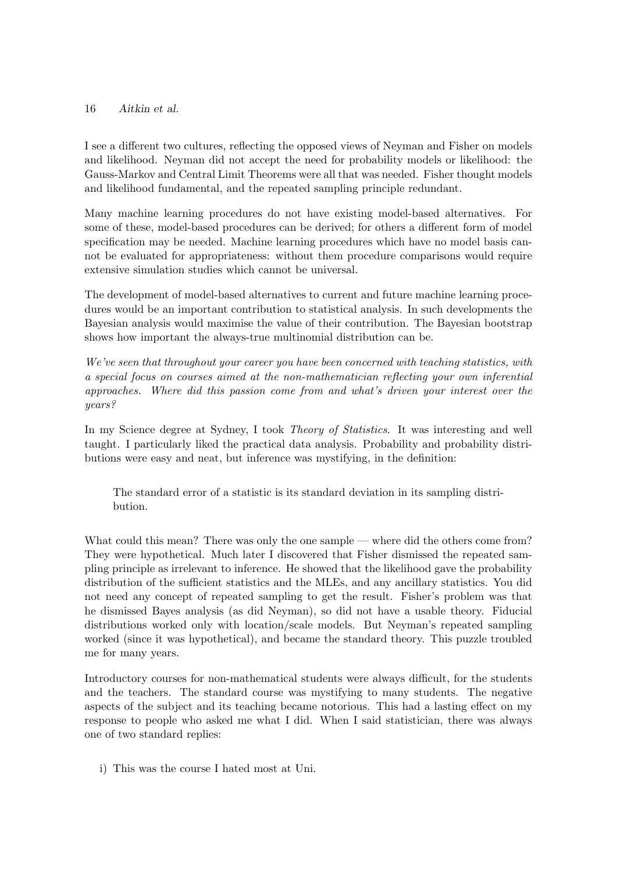I see a different two cultures, reflecting the opposed views of Neyman and Fisher on models and likelihood. Neyman did not accept the need for probability models or likelihood: the Gauss-Markov and Central Limit Theorems were all that was needed. Fisher thought models and likelihood fundamental, and the repeated sampling principle redundant.

Many machine learning procedures do not have existing model-based alternatives. For some of these, model-based procedures can be derived; for others a different form of model specification may be needed. Machine learning procedures which have no model basis cannot be evaluated for appropriateness: without them procedure comparisons would require extensive simulation studies which cannot be universal.

The development of model-based alternatives to current and future machine learning procedures would be an important contribution to statistical analysis. In such developments the Bayesian analysis would maximise the value of their contribution. The Bayesian bootstrap shows how important the always-true multinomial distribution can be.

We've seen that throughout your career you have been concerned with teaching statistics, with a special focus on courses aimed at the non-mathematician reflecting your own inferential approaches. Where did this passion come from and what's driven your interest over the years?

In my Science degree at Sydney, I took Theory of Statistics. It was interesting and well taught. I particularly liked the practical data analysis. Probability and probability distributions were easy and neat, but inference was mystifying, in the definition:

The standard error of a statistic is its standard deviation in its sampling distribution.

What could this mean? There was only the one sample — where did the others come from? They were hypothetical. Much later I discovered that Fisher dismissed the repeated sampling principle as irrelevant to inference. He showed that the likelihood gave the probability distribution of the sufficient statistics and the MLEs, and any ancillary statistics. You did not need any concept of repeated sampling to get the result. Fisher's problem was that he dismissed Bayes analysis (as did Neyman), so did not have a usable theory. Fiducial distributions worked only with location/scale models. But Neyman's repeated sampling worked (since it was hypothetical), and became the standard theory. This puzzle troubled me for many years.

Introductory courses for non-mathematical students were always difficult, for the students and the teachers. The standard course was mystifying to many students. The negative aspects of the subject and its teaching became notorious. This had a lasting effect on my response to people who asked me what I did. When I said statistician, there was always one of two standard replies:

i) This was the course I hated most at Uni.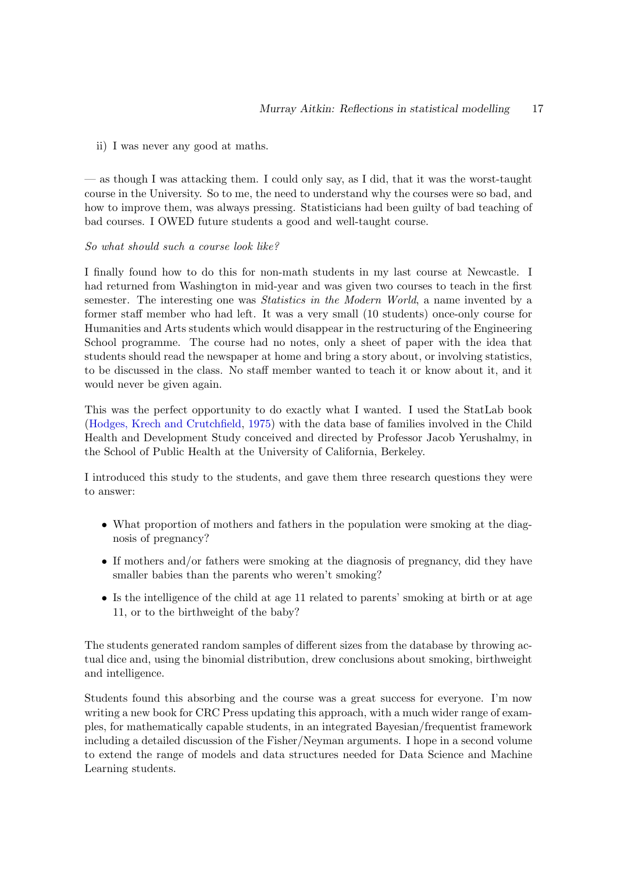#### ii) I was never any good at maths.

— as though I was attacking them. I could only say, as I did, that it was the worst-taught course in the University. So to me, the need to understand why the courses were so bad, and how to improve them, was always pressing. Statisticians had been guilty of bad teaching of bad courses. I OWED future students a good and well-taught course.

#### So what should such a course look like?

I finally found how to do this for non-math students in my last course at Newcastle. I had returned from Washington in mid-year and was given two courses to teach in the first semester. The interesting one was Statistics in the Modern World, a name invented by a former staff member who had left. It was a very small (10 students) once-only course for Humanities and Arts students which would disappear in the restructuring of the Engineering School programme. The course had no notes, only a sheet of paper with the idea that students should read the newspaper at home and bring a story about, or involving statistics, to be discussed in the class. No staff member wanted to teach it or know about it, and it would never be given again.

This was the perfect opportunity to do exactly what I wanted. I used the StatLab book [\(Hodges, Krech and Crutchfield,](#page-19-5) [1975\)](#page-19-5) with the data base of families involved in the Child Health and Development Study conceived and directed by Professor Jacob Yerushalmy, in the School of Public Health at the University of California, Berkeley.

I introduced this study to the students, and gave them three research questions they were to answer:

- What proportion of mothers and fathers in the population were smoking at the diagnosis of pregnancy?
- If mothers and/or fathers were smoking at the diagnosis of pregnancy, did they have smaller babies than the parents who weren't smoking?
- Is the intelligence of the child at age 11 related to parents' smoking at birth or at age 11, or to the birthweight of the baby?

The students generated random samples of different sizes from the database by throwing actual dice and, using the binomial distribution, drew conclusions about smoking, birthweight and intelligence.

Students found this absorbing and the course was a great success for everyone. I'm now writing a new book for CRC Press updating this approach, with a much wider range of examples, for mathematically capable students, in an integrated Bayesian/frequentist framework including a detailed discussion of the Fisher/Neyman arguments. I hope in a second volume to extend the range of models and data structures needed for Data Science and Machine Learning students.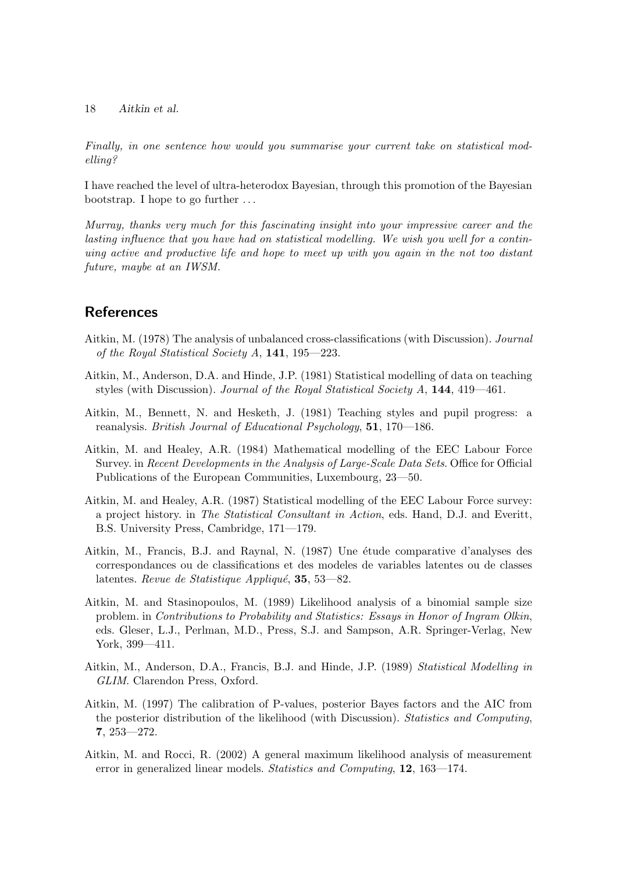Finally, in one sentence how would you summarise your current take on statistical modelling?

I have reached the level of ultra-heterodox Bayesian, through this promotion of the Bayesian bootstrap. I hope to go further . . .

Murray, thanks very much for this fascinating insight into your impressive career and the lasting influence that you have had on statistical modelling. We wish you well for a continuing active and productive life and hope to meet up with you again in the not too distant future, maybe at an IWSM.

# References

- <span id="page-17-0"></span>Aitkin, M. (1978) The analysis of unbalanced cross-classifications (with Discussion). Journal of the Royal Statistical Society A, 141, 195—223.
- <span id="page-17-2"></span>Aitkin, M., Anderson, D.A. and Hinde, J.P. (1981) Statistical modelling of data on teaching styles (with Discussion). Journal of the Royal Statistical Society A, 144, 419—461.
- <span id="page-17-1"></span>Aitkin, M., Bennett, N. and Hesketh, J. (1981) Teaching styles and pupil progress: a reanalysis. British Journal of Educational Psychology, 51, 170—186.
- <span id="page-17-3"></span>Aitkin, M. and Healey, A.R. (1984) Mathematical modelling of the EEC Labour Force Survey. in Recent Developments in the Analysis of Large-Scale Data Sets. Office for Official Publications of the European Communities, Luxembourg, 23—50.
- <span id="page-17-4"></span>Aitkin, M. and Healey, A.R. (1987) Statistical modelling of the EEC Labour Force survey: a project history. in The Statistical Consultant in Action, eds. Hand, D.J. and Everitt, B.S. University Press, Cambridge, 171—179.
- <span id="page-17-5"></span>Aitkin, M., Francis, B.J. and Raynal, N. (1987) Une étude comparative d'analyses des correspondances ou de classifications et des modeles de variables latentes ou de classes latentes. Revue de Statistique Appliqué, 35, 53—82.
- <span id="page-17-6"></span>Aitkin, M. and Stasinopoulos, M. (1989) Likelihood analysis of a binomial sample size problem. in Contributions to Probability and Statistics: Essays in Honor of Ingram Olkin, eds. Gleser, L.J., Perlman, M.D., Press, S.J. and Sampson, A.R. Springer-Verlag, New York, 399—411.
- <span id="page-17-7"></span>Aitkin, M., Anderson, D.A., Francis, B.J. and Hinde, J.P. (1989) Statistical Modelling in GLIM. Clarendon Press, Oxford.
- <span id="page-17-8"></span>Aitkin, M. (1997) The calibration of P-values, posterior Bayes factors and the AIC from the posterior distribution of the likelihood (with Discussion). Statistics and Computing, 7, 253—272.
- <span id="page-17-9"></span>Aitkin, M. and Rocci, R. (2002) A general maximum likelihood analysis of measurement error in generalized linear models. Statistics and Computing, 12, 163–174.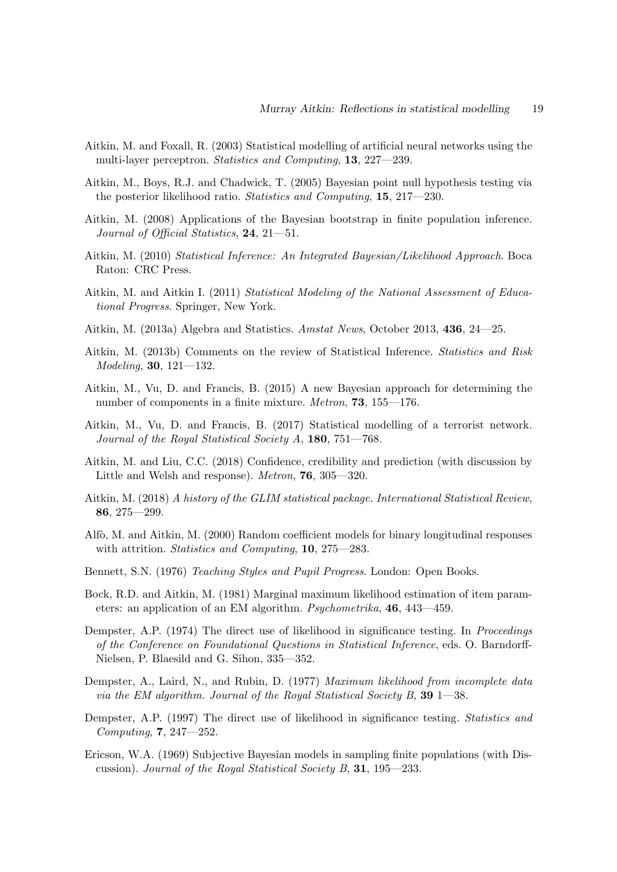- <span id="page-18-17"></span>Aitkin, M. and Foxall, R. (2003) Statistical modelling of artificial neural networks using the multi-layer perceptron. Statistics and Computing, 13, 227—239.
- <span id="page-18-9"></span>Aitkin, M., Boys, R.J. and Chadwick, T. (2005) Bayesian point null hypothesis testing via the posterior likelihood ratio. Statistics and Computing, 15, 217–230.
- <span id="page-18-12"></span>Aitkin, M. (2008) Applications of the Bayesian bootstrap in finite population inference. Journal of Official Statistics, 24, 21—51.
- <span id="page-18-4"></span>Aitkin, M. (2010) Statistical Inference: An Integrated Bayesian/Likelihood Approach. Boca Raton: CRC Press.
- <span id="page-18-13"></span>Aitkin, M. and Aitkin I. (2011) Statistical Modeling of the National Assessment of Educational Progress. Springer, New York.
- <span id="page-18-0"></span>Aitkin, M. (2013a) Algebra and Statistics. Amstat News, October 2013, 436, 24—25.
- <span id="page-18-15"></span>Aitkin, M. (2013b) Comments on the review of Statistical Inference. Statistics and Risk Modeling, 30, 121—132.
- <span id="page-18-10"></span>Aitkin, M., Vu, D. and Francis, B. (2015) A new Bayesian approach for determining the number of components in a finite mixture. Metron, **73**, 155—176.
- <span id="page-18-16"></span>Aitkin, M., Vu, D. and Francis, B. (2017) Statistical modelling of a terrorist network. Journal of the Royal Statistical Society  $A$ , 180, 751–768.
- <span id="page-18-14"></span>Aitkin, M. and Liu, C.C. (2018) Confidence, credibility and prediction (with discussion by Little and Welsh and response). Metron, 76, 305—320.
- <span id="page-18-5"></span>Aitkin, M. (2018) A history of the GLIM statistical package. International Statistical Review, 86, 275—299.
- <span id="page-18-8"></span>Alfò, M. and Aitkin, M. (2000) Random coefficient models for binary longitudinal responses with attrition. Statistics and Computing, 10, 275–283.
- <span id="page-18-3"></span>Bennett, S.N. (1976) Teaching Styles and Pupil Progress. London: Open Books.
- <span id="page-18-2"></span>Bock, R.D. and Aitkin, M. (1981) Marginal maximum likelihood estimation of item parameters: an application of an EM algorithm. Psychometrika, 46, 443—459.
- <span id="page-18-6"></span>Dempster, A.P. (1974) The direct use of likelihood in significance testing. In Proceedings of the Conference on Foundational Questions in Statistical Inference, eds. O. Barndorff-Nielsen, P. Blaesild and G. Sihon, 335—352.
- <span id="page-18-1"></span>Dempster, A., Laird, N., and Rubin, D. (1977) Maximum likelihood from incomplete data via the EM algorithm. Journal of the Royal Statistical Society B,  $39$  1—38.
- <span id="page-18-7"></span>Dempster, A.P. (1997) The direct use of likelihood in significance testing. Statistics and Computing, 7, 247—252.
- <span id="page-18-11"></span>Ericson, W.A. (1969) Subjective Bayesian models in sampling finite populations (with Discussion). Journal of the Royal Statistical Society B, 31, 195—233.